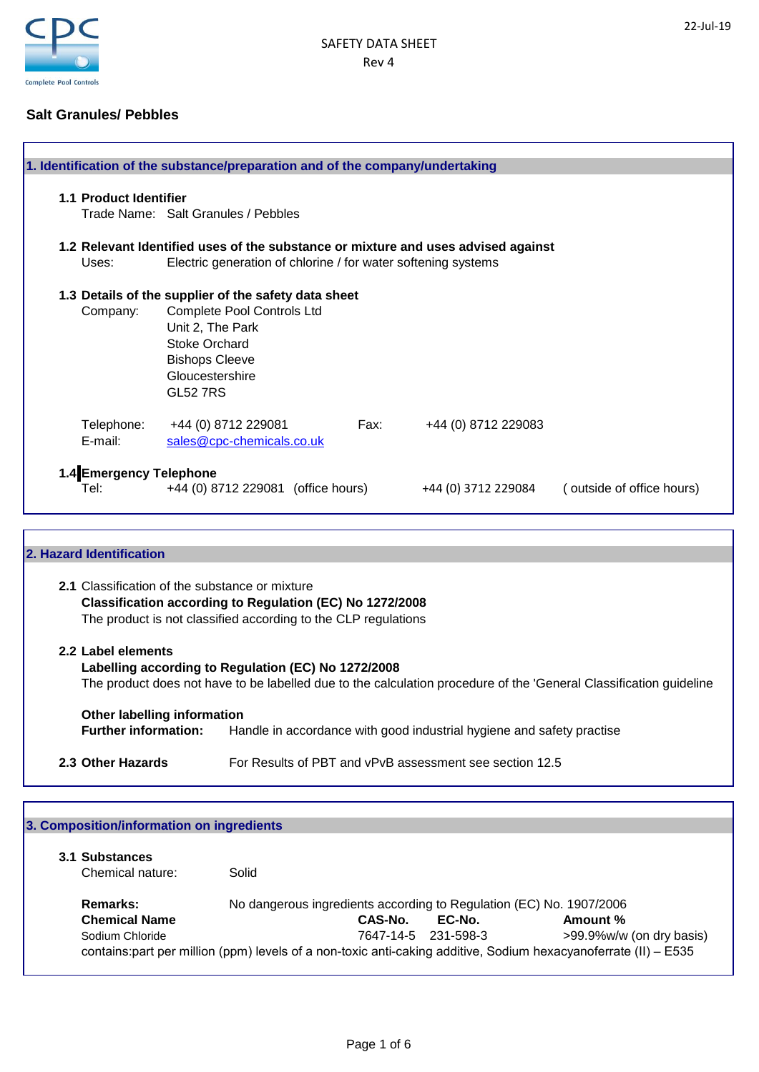

## **Salt Granules/ Pebbles**

|                         | 1. Identification of the substance/preparation and of the company/undertaking |      |                                                                                   |                           |  |  |  |
|-------------------------|-------------------------------------------------------------------------------|------|-----------------------------------------------------------------------------------|---------------------------|--|--|--|
| 1.1 Product Identifier  |                                                                               |      |                                                                                   |                           |  |  |  |
|                         | Trade Name: Salt Granules / Pebbles                                           |      |                                                                                   |                           |  |  |  |
|                         |                                                                               |      | 1.2 Relevant Identified uses of the substance or mixture and uses advised against |                           |  |  |  |
| Uses:                   | Electric generation of chlorine / for water softening systems                 |      |                                                                                   |                           |  |  |  |
|                         | 1.3 Details of the supplier of the safety data sheet                          |      |                                                                                   |                           |  |  |  |
| Company:                | <b>Complete Pool Controls Ltd</b>                                             |      |                                                                                   |                           |  |  |  |
|                         | Unit 2, The Park                                                              |      |                                                                                   |                           |  |  |  |
|                         | Stoke Orchard                                                                 |      |                                                                                   |                           |  |  |  |
|                         | <b>Bishops Cleeve</b>                                                         |      |                                                                                   |                           |  |  |  |
|                         | Gloucestershire                                                               |      |                                                                                   |                           |  |  |  |
|                         | <b>GL52 7RS</b>                                                               |      |                                                                                   |                           |  |  |  |
| Telephone:              | +44 (0) 8712 229081                                                           | Fax: | +44 (0) 8712 229083                                                               |                           |  |  |  |
| E-mail:                 | sales@cpc-chemicals.co.uk                                                     |      |                                                                                   |                           |  |  |  |
| 1.4 Emergency Telephone |                                                                               |      |                                                                                   |                           |  |  |  |
| Tel:                    | +44 (0) 8712 229081 (office hours)                                            |      | +44 (0) 3712 229084                                                               | (outside of office hours) |  |  |  |

# **2. Hazard Identification 2.1** Classification of the substance or mixture **Classification according to Regulation (EC) No 1272/2008** The product is not classified according to the CLP regulations **2.2 Label elements Labelling according to Regulation (EC) No 1272/2008 Other labelling information Further information:** Handle in accordance with good industrial hygiene and safety practise **2.3 Other Hazards** For Results of PBT and vPvB assessment see section 12.5 The product does not have to be labelled due to the calculation procedure of the 'General Classification guideline

| 3.1 Substances       |       |                                                                     |                     |                          |
|----------------------|-------|---------------------------------------------------------------------|---------------------|--------------------------|
| Chemical nature:     | Solid |                                                                     |                     |                          |
| Remarks:             |       | No dangerous ingredients according to Regulation (EC) No. 1907/2006 |                     |                          |
| <b>Chemical Name</b> |       | CAS-No.                                                             | EC-No.              | Amount %                 |
| Sodium Chloride      |       |                                                                     | 7647-14-5 231-598-3 | >99.9%w/w (on dry basis) |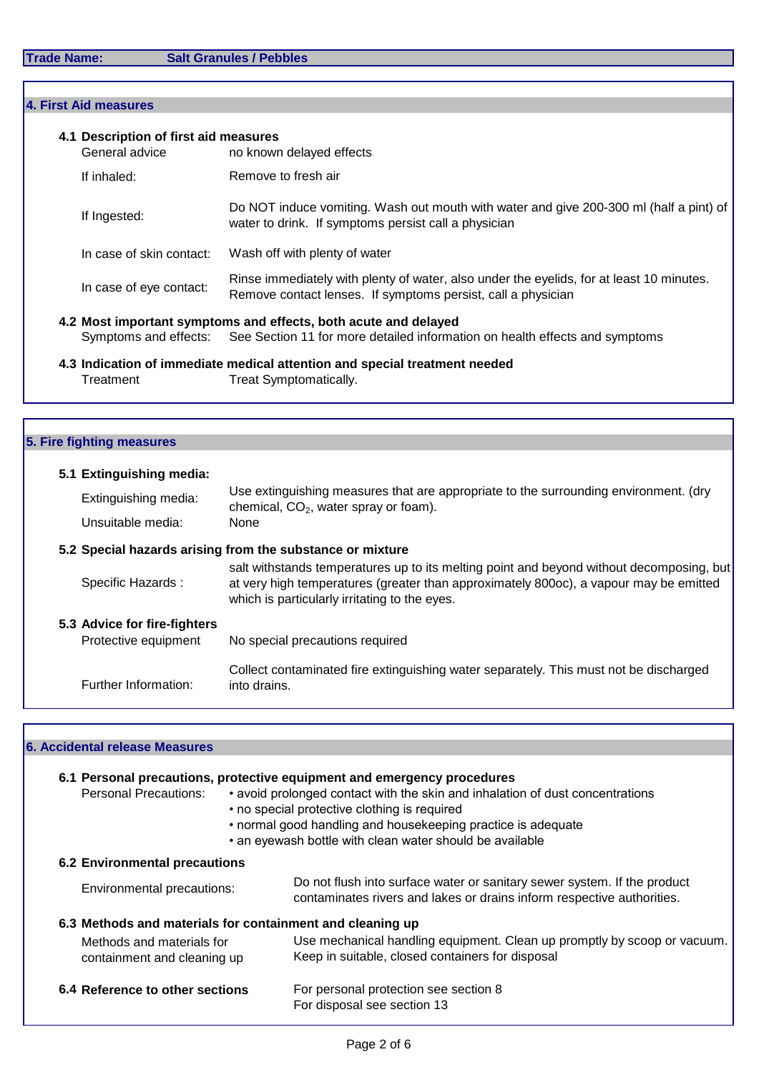**Trade Name: Salt Granules / Pebbles**

| 4.1 Description of first aid measures<br>General advice | no known delayed effects                                                                                                                                             |
|---------------------------------------------------------|----------------------------------------------------------------------------------------------------------------------------------------------------------------------|
| If inhaled:                                             | Remove to fresh air                                                                                                                                                  |
| If Ingested:                                            | Do NOT induce vomiting. Wash out mouth with water and give 200-300 ml (half a pint) of<br>water to drink. If symptoms persist call a physician                       |
| In case of skin contact:                                | Wash off with plenty of water                                                                                                                                        |
| In case of eye contact:                                 | Rinse immediately with plenty of water, also under the eyelids, for at least 10 minutes.<br>Remove contact lenses. If symptoms persist, call a physician             |
|                                                         | 4.2 Most important symptoms and effects, both acute and delayed<br>Symptoms and effects: See Section 11 for more detailed information on health effects and symptoms |
|                                                         |                                                                                                                                                                      |

**4.3 Indication of immediate medical attention and special treatment needed** Treat Symptomatically.

# **5. Fire fighting measures**

| 5.1 Extinguishing media:     |                                                                                                                                                                                                                                    |
|------------------------------|------------------------------------------------------------------------------------------------------------------------------------------------------------------------------------------------------------------------------------|
| Extinguishing media:         | Use extinguishing measures that are appropriate to the surrounding environment. (dry<br>chemical, $CO2$ , water spray or foam).                                                                                                    |
| Unsuitable media:            | None                                                                                                                                                                                                                               |
|                              | 5.2 Special hazards arising from the substance or mixture                                                                                                                                                                          |
| Specific Hazards :           | salt withstands temperatures up to its melting point and beyond without decomposing, but<br>at very high temperatures (greater than approximately 800oc), a vapour may be emitted<br>which is particularly irritating to the eyes. |
| 5.3 Advice for fire-fighters |                                                                                                                                                                                                                                    |
| Protective equipment         | No special precautions required                                                                                                                                                                                                    |
| Further Information:         | Collect contaminated fire extinguishing water separately. This must not be discharged<br>into drains.                                                                                                                              |

### **6. Accidental release Measures**

| <b>Personal Precautions:</b>                              |  | 6.1 Personal precautions, protective equipment and emergency procedures<br>• avoid prolonged contact with the skin and inhalation of dust concentrations<br>• no special protective clothing is required<br>• normal good handling and housekeeping practice is adequate<br>• an eyewash bottle with clean water should be available |  |  |
|-----------------------------------------------------------|--|--------------------------------------------------------------------------------------------------------------------------------------------------------------------------------------------------------------------------------------------------------------------------------------------------------------------------------------|--|--|
| <b>6.2 Environmental precautions</b>                      |  |                                                                                                                                                                                                                                                                                                                                      |  |  |
| Environmental precautions:                                |  | Do not flush into surface water or sanitary sewer system. If the product<br>contaminates rivers and lakes or drains inform respective authorities.                                                                                                                                                                                   |  |  |
| 6.3 Methods and materials for containment and cleaning up |  |                                                                                                                                                                                                                                                                                                                                      |  |  |
| Methods and materials for<br>containment and cleaning up  |  | Use mechanical handling equipment. Clean up promptly by scoop or vacuum.<br>Keep in suitable, closed containers for disposal                                                                                                                                                                                                         |  |  |
| 6.4 Reference to other sections                           |  | For personal protection see section 8<br>For disposal see section 13                                                                                                                                                                                                                                                                 |  |  |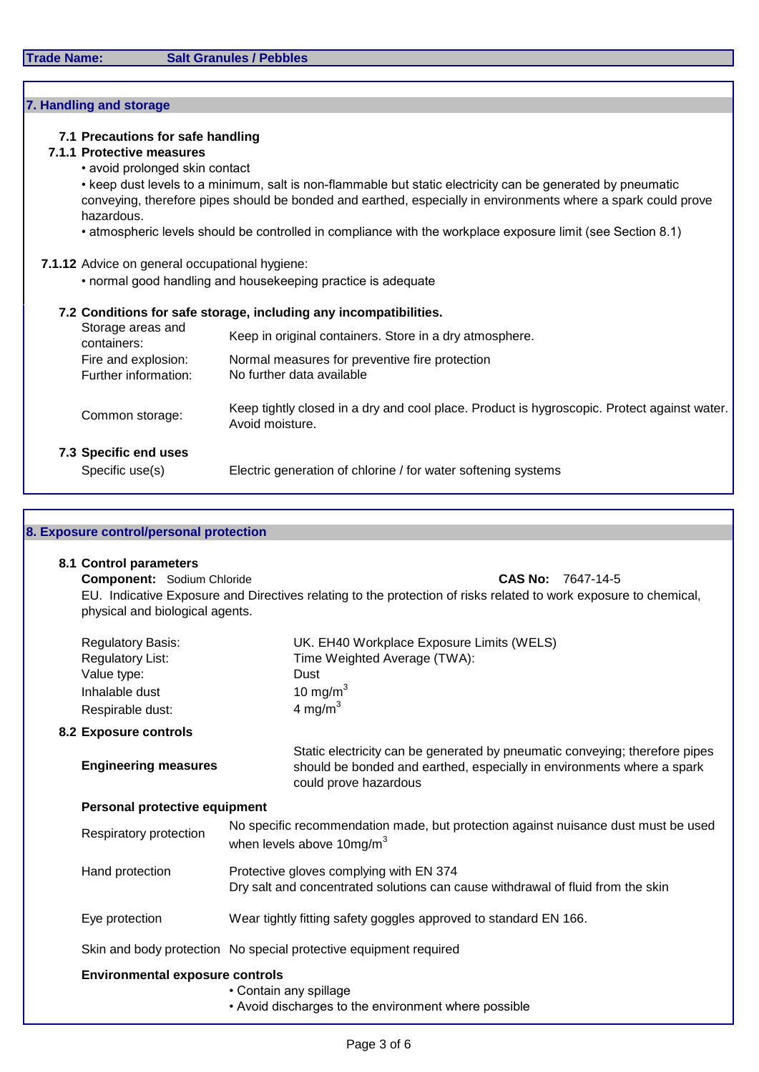| 7. Handling and storage                     |                                                                                                                                                                                                                              |
|---------------------------------------------|------------------------------------------------------------------------------------------------------------------------------------------------------------------------------------------------------------------------------|
| 7.1 Precautions for safe handling           |                                                                                                                                                                                                                              |
| 7.1.1 Protective measures                   |                                                                                                                                                                                                                              |
| • avoid prolonged skin contact              |                                                                                                                                                                                                                              |
| hazardous.                                  | • keep dust levels to a minimum, salt is non-flammable but static electricity can be generated by pneumatic<br>conveying, therefore pipes should be bonded and earthed, especially in environments where a spark could prove |
|                                             | • atmospheric levels should be controlled in compliance with the workplace exposure limit (see Section 8.1)                                                                                                                  |
|                                             | 7.1.12 Advice on general occupational hygiene:                                                                                                                                                                               |
|                                             | • normal good handling and housekeeping practice is adequate<br>7.2 Conditions for safe storage, including any incompatibilities.                                                                                            |
| Storage areas and<br>containers:            | Keep in original containers. Store in a dry atmosphere.                                                                                                                                                                      |
| Fire and explosion:<br>Further information: | Normal measures for preventive fire protection<br>No further data available                                                                                                                                                  |
| Common storage:                             | Keep tightly closed in a dry and cool place. Product is hygroscopic. Protect against water.<br>Avoid moisture.                                                                                                               |
| 7.3 Specific end uses                       |                                                                                                                                                                                                                              |

| 8. Exposure control/personal protection |                                                                                                                                                                                |
|-----------------------------------------|--------------------------------------------------------------------------------------------------------------------------------------------------------------------------------|
| 8.1 Control parameters                  |                                                                                                                                                                                |
| <b>Component:</b> Sodium Chloride       | CAS No: 7647-14-5                                                                                                                                                              |
| physical and biological agents.         | EU. Indicative Exposure and Directives relating to the protection of risks related to work exposure to chemical,                                                               |
| <b>Regulatory Basis:</b>                | UK. EH40 Workplace Exposure Limits (WELS)                                                                                                                                      |
| <b>Regulatory List:</b>                 | Time Weighted Average (TWA):                                                                                                                                                   |
| Value type:                             | Dust                                                                                                                                                                           |
| Inhalable dust                          | 10 mg/m $3$                                                                                                                                                                    |
| Respirable dust:                        | 4 mg/m $3$                                                                                                                                                                     |
| 8.2 Exposure controls                   |                                                                                                                                                                                |
| <b>Engineering measures</b>             | Static electricity can be generated by pneumatic conveying; therefore pipes<br>should be bonded and earthed, especially in environments where a spark<br>could prove hazardous |
| Personal protective equipment           |                                                                                                                                                                                |
| Respiratory protection                  | No specific recommendation made, but protection against nuisance dust must be used<br>when levels above $10mg/m^3$                                                             |
| Hand protection                         | Protective gloves complying with EN 374<br>Dry salt and concentrated solutions can cause withdrawal of fluid from the skin                                                     |
| Eye protection                          | Wear tightly fitting safety goggles approved to standard EN 166.                                                                                                               |
|                                         | Skin and body protection No special protective equipment required                                                                                                              |
| <b>Environmental exposure controls</b>  |                                                                                                                                                                                |
|                                         | • Contain any spillage                                                                                                                                                         |
|                                         | • Avoid discharges to the environment where possible                                                                                                                           |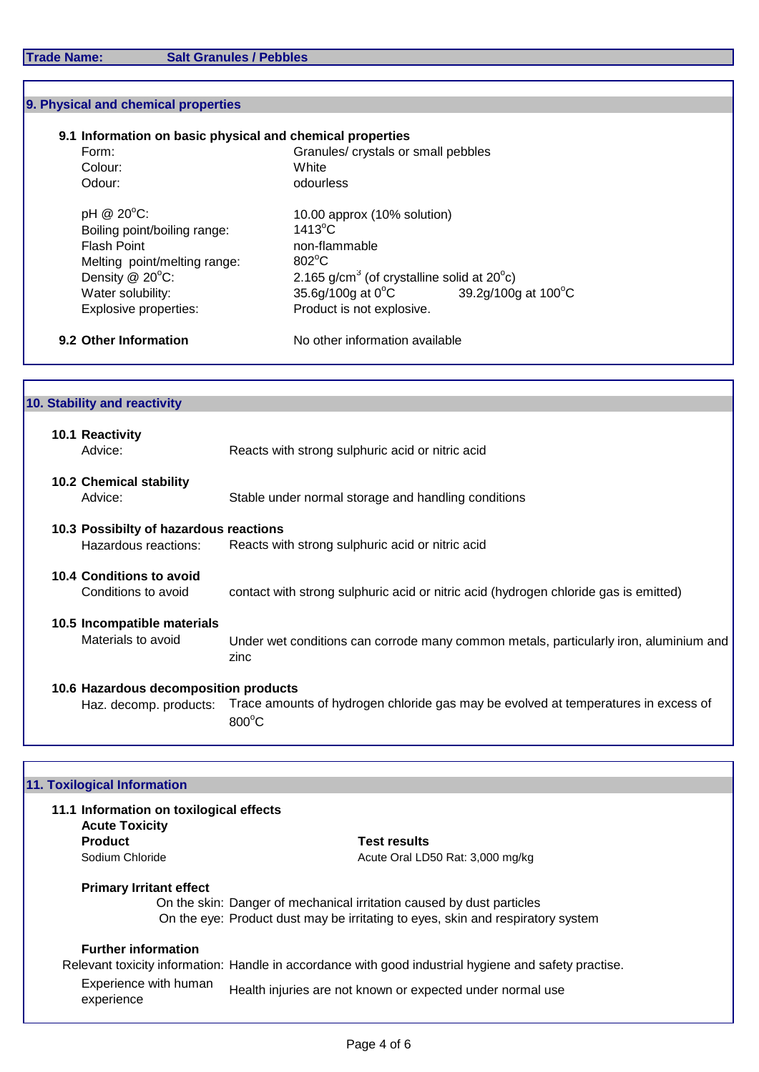**Trade Name: Salt Granules / Pebbles**

|                                                                                                                               | 9. Physical and chemical properties     |                                                                                                       |  |  |
|-------------------------------------------------------------------------------------------------------------------------------|-----------------------------------------|-------------------------------------------------------------------------------------------------------|--|--|
|                                                                                                                               |                                         | 9.1 Information on basic physical and chemical properties                                             |  |  |
|                                                                                                                               | Form:                                   | Granules/ crystals or small pebbles                                                                   |  |  |
|                                                                                                                               | Colour:                                 | White                                                                                                 |  |  |
| Odour:<br>pH @ 20°C:<br>Boiling point/boiling range:<br><b>Flash Point</b><br>Melting point/melting range:<br>Density @ 20°C: |                                         | odourless                                                                                             |  |  |
|                                                                                                                               |                                         | 10.00 approx (10% solution)                                                                           |  |  |
|                                                                                                                               |                                         | $1413^{\circ}$ C                                                                                      |  |  |
|                                                                                                                               |                                         | non-flammable                                                                                         |  |  |
|                                                                                                                               |                                         | 802°C<br>2.165 g/cm <sup>3</sup> (of crystalline solid at $20^{\circ}$ c)                             |  |  |
|                                                                                                                               | Water solubility:                       | 35.6g/100g at 0°C<br>39.2g/100g at 100°C                                                              |  |  |
|                                                                                                                               | Explosive properties:                   | Product is not explosive.                                                                             |  |  |
|                                                                                                                               | 9.2 Other Information                   | No other information available                                                                        |  |  |
|                                                                                                                               |                                         |                                                                                                       |  |  |
|                                                                                                                               | 10. Stability and reactivity            |                                                                                                       |  |  |
|                                                                                                                               | 10.1 Reactivity                         |                                                                                                       |  |  |
|                                                                                                                               | Advice:                                 | Reacts with strong sulphuric acid or nitric acid                                                      |  |  |
|                                                                                                                               | 10.2 Chemical stability                 |                                                                                                       |  |  |
|                                                                                                                               | Advice:                                 | Stable under normal storage and handling conditions                                                   |  |  |
|                                                                                                                               | 10.3 Possibilty of hazardous reactions  |                                                                                                       |  |  |
|                                                                                                                               | Hazardous reactions:                    | Reacts with strong sulphuric acid or nitric acid                                                      |  |  |
|                                                                                                                               | 10.4 Conditions to avoid                |                                                                                                       |  |  |
|                                                                                                                               | Conditions to avoid                     | contact with strong sulphuric acid or nitric acid (hydrogen chloride gas is emitted)                  |  |  |
|                                                                                                                               | 10.5 Incompatible materials             |                                                                                                       |  |  |
|                                                                                                                               | Materials to avoid                      | Under wet conditions can corrode many common metals, particularly iron, aluminium and                 |  |  |
|                                                                                                                               |                                         | zinc                                                                                                  |  |  |
|                                                                                                                               | 10.6 Hazardous decomposition products   |                                                                                                       |  |  |
|                                                                                                                               | Haz. decomp. products:                  | Trace amounts of hydrogen chloride gas may be evolved at temperatures in excess of                    |  |  |
|                                                                                                                               |                                         | $800^{\circ}$ C                                                                                       |  |  |
|                                                                                                                               | <b>11. Toxilogical Information</b>      |                                                                                                       |  |  |
|                                                                                                                               | 11.1 Information on toxilogical effects |                                                                                                       |  |  |
|                                                                                                                               | <b>Acute Toxicity</b>                   |                                                                                                       |  |  |
|                                                                                                                               | <b>Product</b>                          | <b>Test results</b>                                                                                   |  |  |
|                                                                                                                               | Sodium Chloride                         | Acute Oral LD50 Rat: 3,000 mg/kg                                                                      |  |  |
| <b>Primary Irritant effect</b>                                                                                                |                                         |                                                                                                       |  |  |
|                                                                                                                               |                                         | On the skin: Danger of mechanical irritation caused by dust particles                                 |  |  |
|                                                                                                                               |                                         | On the eye: Product dust may be irritating to eyes, skin and respiratory system                       |  |  |
|                                                                                                                               | <b>Further information</b>              |                                                                                                       |  |  |
|                                                                                                                               |                                         | Relevant toxicity information: Handle in accordance with good industrial hygiene and safety practise. |  |  |
|                                                                                                                               | Experience with human                   | Health injuries are not known or expected under normal use                                            |  |  |
|                                                                                                                               | experience                              |                                                                                                       |  |  |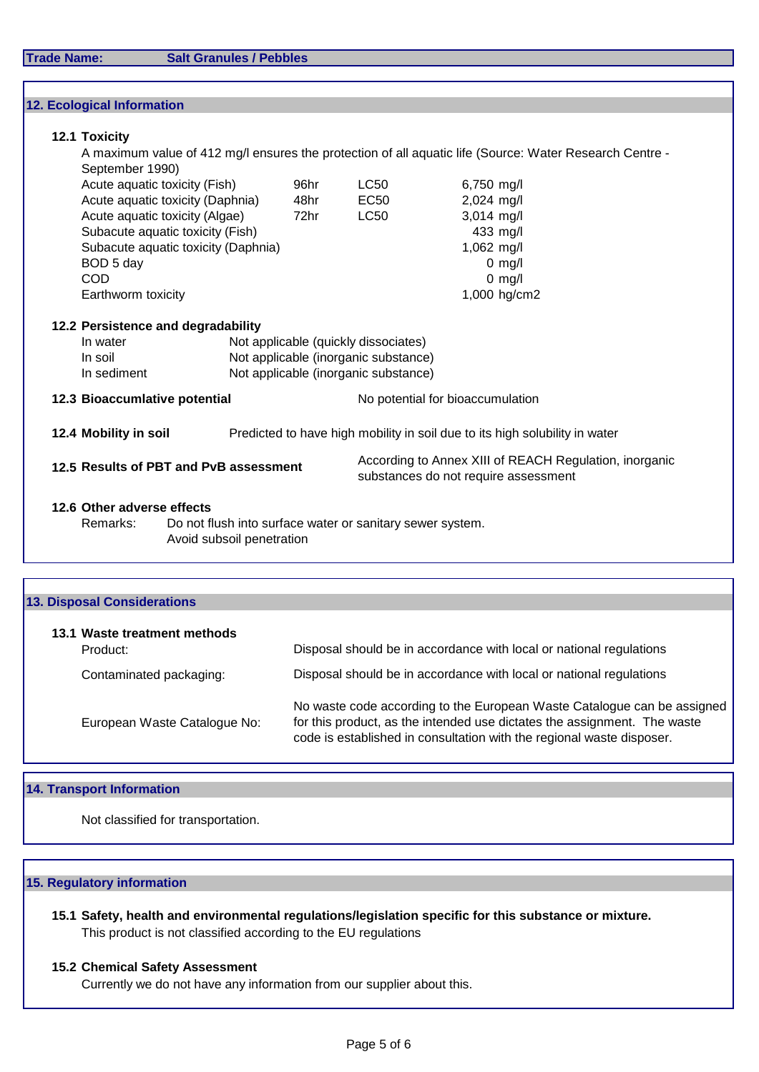| 12. Ecological Information             |                                                           |      |                                                                                                                      |                                                                                                         |
|----------------------------------------|-----------------------------------------------------------|------|----------------------------------------------------------------------------------------------------------------------|---------------------------------------------------------------------------------------------------------|
| 12.1 Toxicity                          |                                                           |      |                                                                                                                      |                                                                                                         |
| September 1990)                        |                                                           |      |                                                                                                                      | A maximum value of 412 mg/l ensures the protection of all aquatic life (Source: Water Research Centre - |
|                                        | Acute aquatic toxicity (Fish)                             | 96hr | LC50                                                                                                                 | 6,750 mg/l                                                                                              |
|                                        | Acute aquatic toxicity (Daphnia)                          | 48hr | EC50                                                                                                                 | 2,024 mg/l                                                                                              |
|                                        | Acute aquatic toxicity (Algae)                            | 72hr | <b>LC50</b>                                                                                                          | 3,014 mg/l                                                                                              |
|                                        | Subacute aquatic toxicity (Fish)                          |      |                                                                                                                      | 433 mg/l                                                                                                |
|                                        | Subacute aquatic toxicity (Daphnia)                       |      |                                                                                                                      | 1,062 mg/l                                                                                              |
| BOD 5 day                              |                                                           |      |                                                                                                                      | $0$ mg/l                                                                                                |
| <b>COD</b>                             |                                                           |      |                                                                                                                      | $0$ mg/l                                                                                                |
| Earthworm toxicity                     |                                                           |      |                                                                                                                      | 1,000 hg/cm2                                                                                            |
| In water<br>In soil<br>In sediment     | 12.2 Persistence and degradability                        |      | Not applicable (quickly dissociates)<br>Not applicable (inorganic substance)<br>Not applicable (inorganic substance) |                                                                                                         |
| 12.3 Bioaccumlative potential          |                                                           |      |                                                                                                                      | No potential for bioaccumulation                                                                        |
| 12.4 Mobility in soil                  |                                                           |      |                                                                                                                      | Predicted to have high mobility in soil due to its high solubility in water                             |
|                                        | 12.5 Results of PBT and PvB assessment                    |      |                                                                                                                      | According to Annex XIII of REACH Regulation, inorganic<br>substances do not require assessment          |
| 12.6 Other adverse effects<br>Remarks: | Do not flush into surface water or sanitary sewer system. |      |                                                                                                                      |                                                                                                         |

| <b>13. Disposal Considerations</b>       |                                                                                                                                                                                                                              |  |  |  |
|------------------------------------------|------------------------------------------------------------------------------------------------------------------------------------------------------------------------------------------------------------------------------|--|--|--|
| 13.1 Waste treatment methods<br>Product: | Disposal should be in accordance with local or national regulations                                                                                                                                                          |  |  |  |
| Contaminated packaging:                  | Disposal should be in accordance with local or national regulations                                                                                                                                                          |  |  |  |
| European Waste Catalogue No:             | No waste code according to the European Waste Catalogue can be assigned<br>for this product, as the intended use dictates the assignment. The waste<br>code is established in consultation with the regional waste disposer. |  |  |  |

# **14. Transport Information**

Not classified for transportation.

## **15. Regulatory information**

**15.1 Safety, health and environmental regulations/legislation specific for this substance or mixture.** This product is not classified according to the EU regulations

## **15.2 Chemical Safety Assessment**

Currently we do not have any information from our supplier about this.